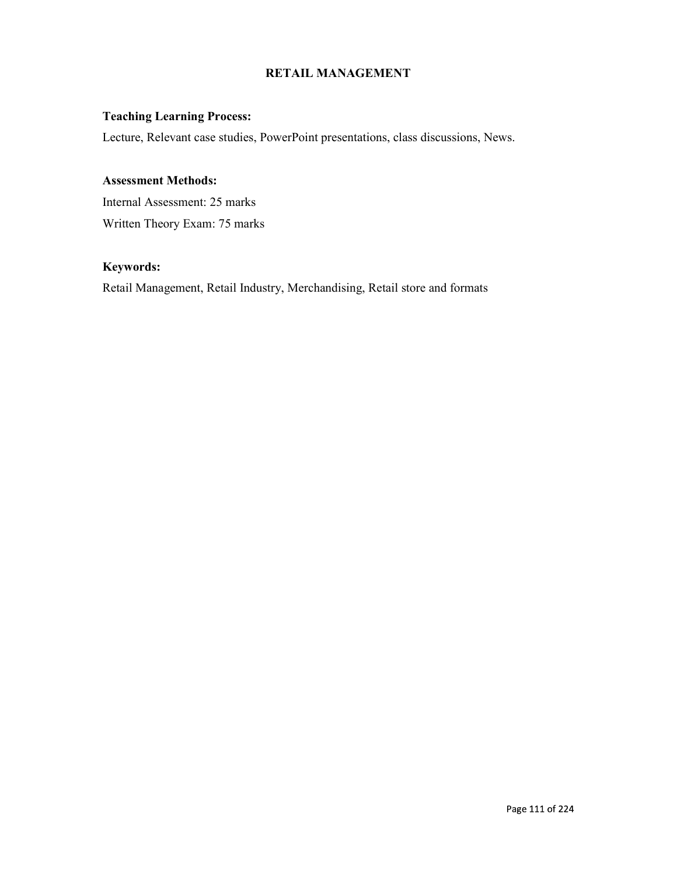# RETAIL MANAGEMENT

# Teaching Learning Process:

Lecture, Relevant case studies, PowerPoint presentations, class discussions, News.

# Assessment Methods:

Internal Assessment: 25 marks Written Theory Exam: 75 marks

# Keywords:

Retail Management, Retail Industry, Merchandising, Retail store and formats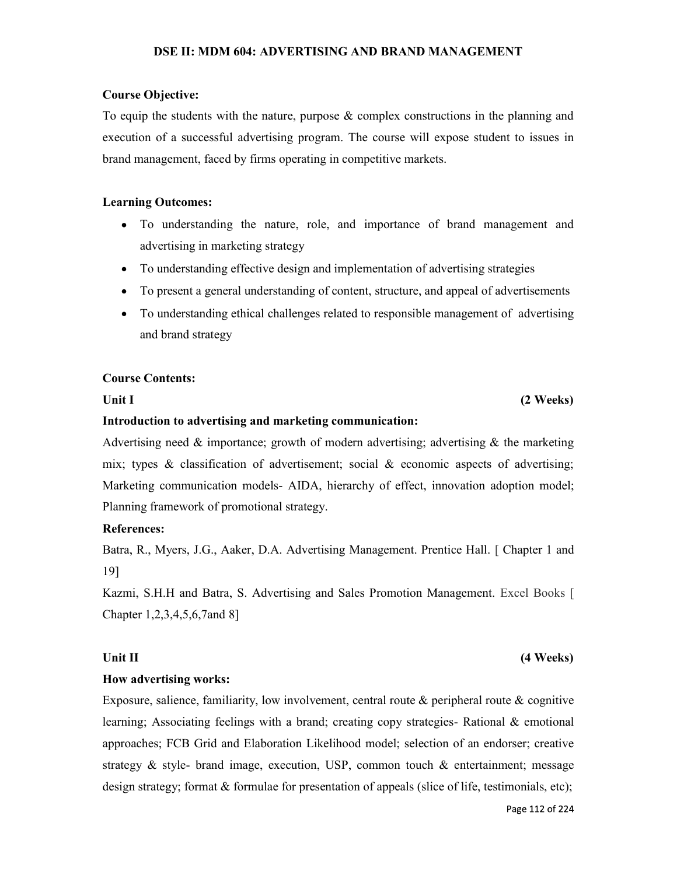# DSE II: MDM 604: ADVERTISING AND BRAND MANAGEMENT

## Course Objective:

To equip the students with the nature, purpose & complex constructions in the planning and execution of a successful advertising program. The course will expose student to issues in brand management, faced by firms operating in competitive markets.

## Learning Outcomes:

- To understanding the nature, role, and importance of brand management and advertising in marketing strategy
- To understanding effective design and implementation of advertising strategies
- To present a general understanding of content, structure, and appeal of advertisements
- To understanding ethical challenges related to responsible management of advertising and brand strategy

### Course Contents:

# Unit I (2 Weeks)

## Introduction to advertising and marketing communication:

Advertising need  $\&$  importance; growth of modern advertising; advertising  $\&$  the marketing mix; types  $\&$  classification of advertisement; social  $\&$  economic aspects of advertising; Marketing communication models- AIDA, hierarchy of effect, innovation adoption model; Planning framework of promotional strategy.

## References:

Batra, R., Myers, J.G., Aaker, D.A. Advertising Management. Prentice Hall. [ Chapter 1 and 19]

Kazmi, S.H.H and Batra, S. Advertising and Sales Promotion Management. Excel Books [ Chapter 1,2,3,4,5,6,7and 8]

# Unit II (4 Weeks)

How advertising works:<br>Exposure, salience, familiarity, low involvement, central route & peripheral route & cognitive learning; Associating feelings with a brand; creating copy strategies- Rational & emotional approaches; FCB Grid and Elaboration Likelihood model; selection of an endorser; creative strategy & style- brand image, execution, USP, common touch & entertainment; message design strategy; format & formulae for presentation of appeals (slice of life, testimonials, etc);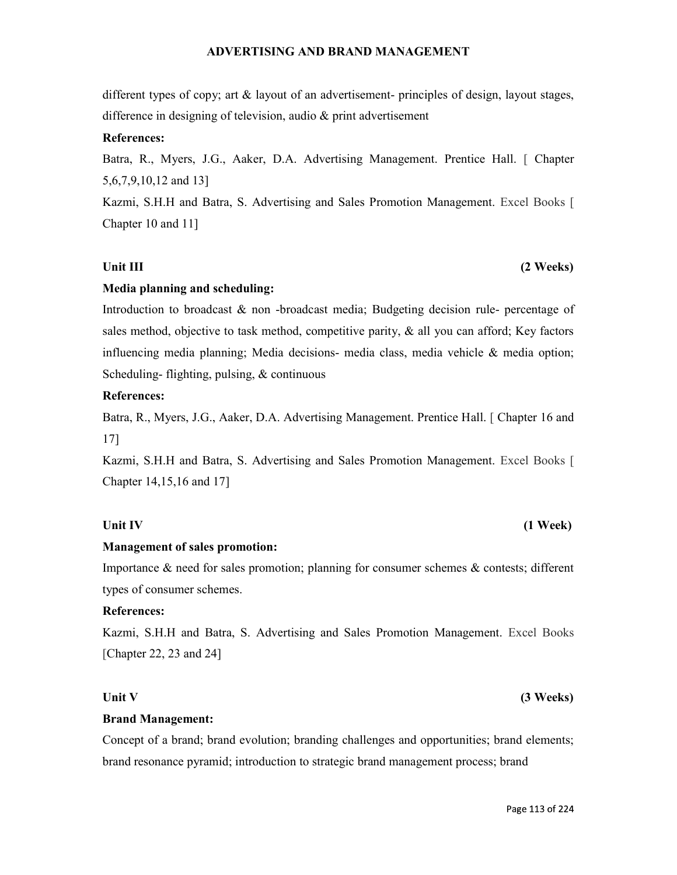# ADVERTISING AND BRAND MANAGEMENT

different types of copy; art & layout of an advertisement- principles of design, layout stages, difference in designing of television, audio & print advertisement

## References:

Batra, R., Myers, J.G., Aaker, D.A. Advertising Management. Prentice Hall. [ Chapter 5,6,7,9,10,12 and 13]

Kazmi, S.H.H and Batra, S. Advertising and Sales Promotion Management. Excel Books [ Chapter 10 and 11]

# Unit III (2 Weeks)

Media planning and scheduling:<br>Introduction to broadcast & non -broadcast media; Budgeting decision rule- percentage of sales method, objective to task method, competitive parity, & all you can afford; Key factors influencing media planning; Media decisions- media class, media vehicle & media option; Scheduling- flighting, pulsing, & continuous

## References:

Batra, R., Myers, J.G., Aaker, D.A. Advertising Management. Prentice Hall. [ Chapter 16 and 17]

Kazmi, S.H.H and Batra, S. Advertising and Sales Promotion Management. Excel Books [ Chapter 14,15,16 and 17]

# Unit IV (1 Week)

**Management of sales promotion:**<br>Importance  $\&$  need for sales promotion; planning for consumer schemes  $\&$  contests; different types of consumer schemes.

## References:

Kazmi, S.H.H and Batra, S. Advertising and Sales Promotion Management. Excel Books [Chapter 22, 23 and 24]

## Unit V  $(3 \text{ weeks})$

Brand Management:<br>Concept of a brand; brand evolution; branding challenges and opportunities; brand elements; brand resonance pyramid; introduction to strategic brand management process; brand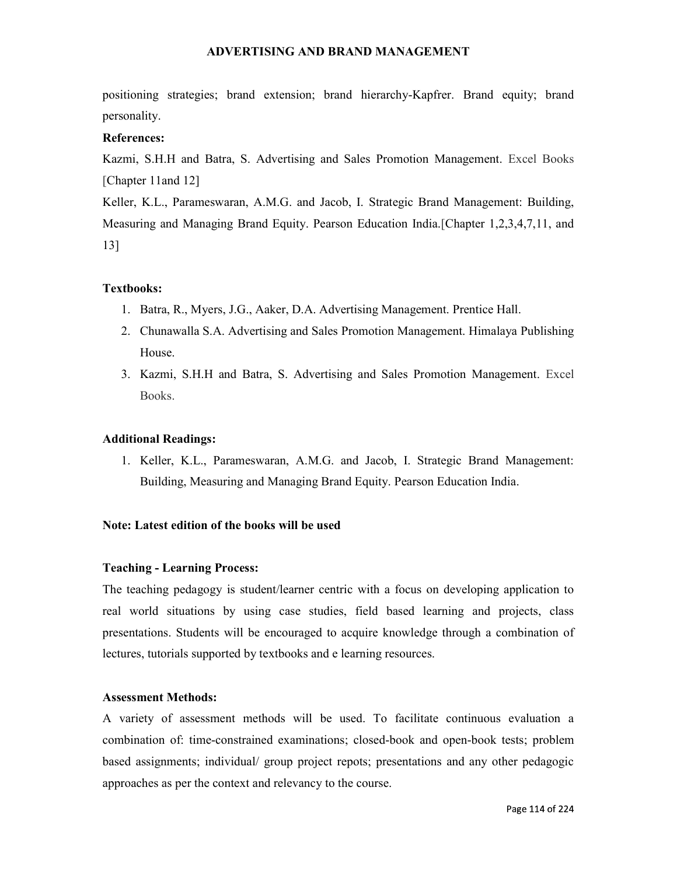# ADVERTISING AND BRAND MANAGEMENT

positioning strategies; brand extension; brand hierarchy-Kapfrer. Brand equity; brand personality.

# References:

Kazmi, S.H.H and Batra, S. Advertising and Sales Promotion Management. Excel Books [Chapter 11and 12]

Keller, K.L., Parameswaran, A.M.G. and Jacob, I. Strategic Brand Management: Building, Measuring and Managing Brand Equity. Pearson Education India.[Chapter 1,2,3,4,7,11, and 13]

# Textbooks:

- 1. Batra, R., Myers, J.G., Aaker, D.A. Advertising Management. Prentice Hall.
- 2. Chunawalla S.A. Advertising and Sales Promotion Management. Himalaya Publishing House.
- 3. Kazmi, S.H.H and Batra, S. Advertising and Sales Promotion Management. Excel Books.

## Additional Readings:

1. Keller, K.L., Parameswaran, A.M.G. and Jacob, I. Strategic Brand Management: Building, Measuring and Managing Brand Equity. Pearson Education India.

## Note: Latest edition of the books will be used

## Teaching - Learning Process:

The teaching pedagogy is student/learner centric with a focus on developing application to real world situations by using case studies, field based learning and projects, class presentations. Students will be encouraged to acquire knowledge through a combination of lectures, tutorials supported by textbooks and e learning resources.

## Assessment Methods:

A variety of assessment methods will be used. To facilitate continuous evaluation a combination of: time-constrained examinations; closed-book and open-book tests; problem based assignments; individual/ group project repots; presentations and any other pedagogic approaches as per the context and relevancy to the course.